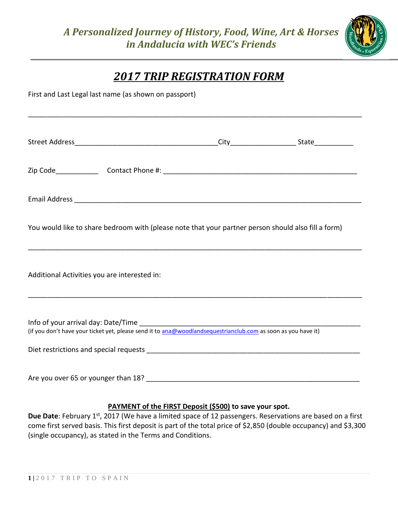

## *2017 TRIP REGISTRATION FORM*

First and Last Legal last name (as shown on passport) \_\_\_\_\_\_\_\_\_\_\_\_\_\_\_\_\_\_\_\_\_\_\_\_\_\_\_\_\_\_\_\_\_\_\_\_\_\_\_\_\_\_\_\_\_\_\_\_\_\_\_\_\_\_\_\_\_\_\_\_\_\_\_\_\_\_\_\_\_\_\_\_\_\_\_\_\_\_\_\_\_\_\_\_\_\_ Street Address\_\_\_\_\_\_\_\_\_\_\_\_\_\_\_\_\_\_\_\_\_\_\_\_\_\_\_\_\_\_\_\_\_\_\_\_\_City\_\_\_\_\_\_\_\_\_\_\_\_\_\_\_\_\_ State\_\_\_\_\_\_\_\_\_\_ Zip Code Contact Phone #:  $\Box$ Email Address \_\_\_\_\_\_\_\_\_\_\_\_\_\_\_\_\_\_\_\_\_\_\_\_\_\_\_\_\_\_\_\_\_\_\_\_\_\_\_\_\_\_\_\_\_\_\_\_\_\_\_\_\_\_\_\_\_\_\_\_\_\_\_\_\_\_\_\_\_\_\_\_\_\_ You would like to share bedroom with (please note that your partner person should also fill a form) \_\_\_\_\_\_\_\_\_\_\_\_\_\_\_\_\_\_\_\_\_\_\_\_\_\_\_\_\_\_\_\_\_\_\_\_\_\_\_\_\_\_\_\_\_\_\_\_\_\_\_\_\_\_\_\_\_\_\_\_\_\_\_\_\_\_\_\_\_\_\_\_\_\_\_\_\_\_\_\_\_\_\_\_\_\_ Additional Activities you are interested in: \_\_\_\_\_\_\_\_\_\_\_\_\_\_\_\_\_\_\_\_\_\_\_\_\_\_\_\_\_\_\_\_\_\_\_\_\_\_\_\_\_\_\_\_\_\_\_\_\_\_\_\_\_\_\_\_\_\_\_\_\_\_\_\_\_\_\_\_\_\_\_\_\_\_\_\_\_\_\_\_\_\_\_\_\_\_ Info of your arrival day: Date/Time (if you don't have your ticket yet, please send it to [ana@woodlandsequestrianclub.com](mailto:ana@woodlandsequestrianclub.com) as soon as you have it) Diet restrictions and special requests \_\_\_\_\_\_\_\_\_\_\_\_\_\_\_\_\_\_\_\_\_\_\_\_\_\_\_\_\_\_\_\_\_\_\_\_\_\_\_\_\_\_\_\_\_\_\_\_\_\_\_\_\_\_\_ Are you over 65 or younger than 18? **Example 20 and 20 and 20 and 20 and 20 and 20 and 20 and 20 and 20 and 20** 

## **PAYMENT of the FIRST Deposit (\$500) to save your spot.**

**Due Date**: February 1<sup>st</sup>, 2017 (We have a limited space of 12 passengers. Reservations are based on a first come first served basis. This first deposit is part of the total price of \$2,850 (double occupancy) and \$3,300 (single occupancy), as stated in the Terms and Conditions.